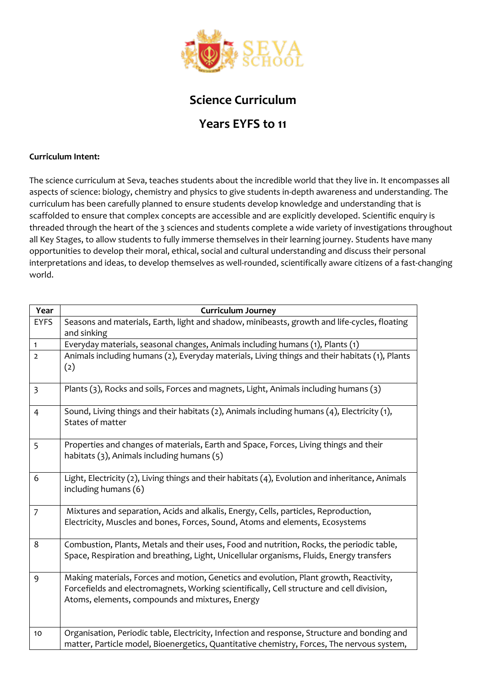

## **Science Curriculum**

## **Years EYFS to 11**

## **Curriculum Intent:**

The science curriculum at Seva, teaches students about the incredible world that they live in. It encompasses all aspects of science: biology, chemistry and physics to give students in-depth awareness and understanding. The curriculum has been carefully planned to ensure students develop knowledge and understanding that is scaffolded to ensure that complex concepts are accessible and are explicitly developed. Scientific enquiry is threaded through the heart of the 3 sciences and students complete a wide variety of investigations throughout all Key Stages, to allow students to fully immerse themselves in their learning journey. Students have many opportunities to develop their moral, ethical, social and cultural understanding and discuss their personal interpretations and ideas, to develop themselves as well-rounded, scientifically aware citizens of a fast-changing world.

| Year           | <b>Curriculum Journey</b>                                                                                                                                                                                                              |
|----------------|----------------------------------------------------------------------------------------------------------------------------------------------------------------------------------------------------------------------------------------|
| <b>EYFS</b>    | Seasons and materials, Earth, light and shadow, minibeasts, growth and life-cycles, floating<br>and sinking                                                                                                                            |
| $\mathbf{1}$   | Everyday materials, seasonal changes, Animals including humans (1), Plants (1)                                                                                                                                                         |
| $\overline{2}$ | Animals including humans (2), Everyday materials, Living things and their habitats (1), Plants<br>(2)                                                                                                                                  |
| $\overline{3}$ | Plants (3), Rocks and soils, Forces and magnets, Light, Animals including humans (3)                                                                                                                                                   |
| $\overline{4}$ | Sound, Living things and their habitats $(2)$ , Animals including humans $(4)$ , Electricity $(1)$ ,<br>States of matter                                                                                                               |
| 5              | Properties and changes of materials, Earth and Space, Forces, Living things and their<br>habitats (3), Animals including humans (5)                                                                                                    |
| 6              | Light, Electricity (2), Living things and their habitats (4), Evolution and inheritance, Animals<br>including humans (6)                                                                                                               |
| $\overline{7}$ | Mixtures and separation, Acids and alkalis, Energy, Cells, particles, Reproduction,<br>Electricity, Muscles and bones, Forces, Sound, Atoms and elements, Ecosystems                                                                   |
| 8              | Combustion, Plants, Metals and their uses, Food and nutrition, Rocks, the periodic table,<br>Space, Respiration and breathing, Light, Unicellular organisms, Fluids, Energy transfers                                                  |
| 9              | Making materials, Forces and motion, Genetics and evolution, Plant growth, Reactivity,<br>Forcefields and electromagnets, Working scientifically, Cell structure and cell division,<br>Atoms, elements, compounds and mixtures, Energy |
| 10             | Organisation, Periodic table, Electricity, Infection and response, Structure and bonding and<br>matter, Particle model, Bioenergetics, Quantitative chemistry, Forces, The nervous system,                                             |